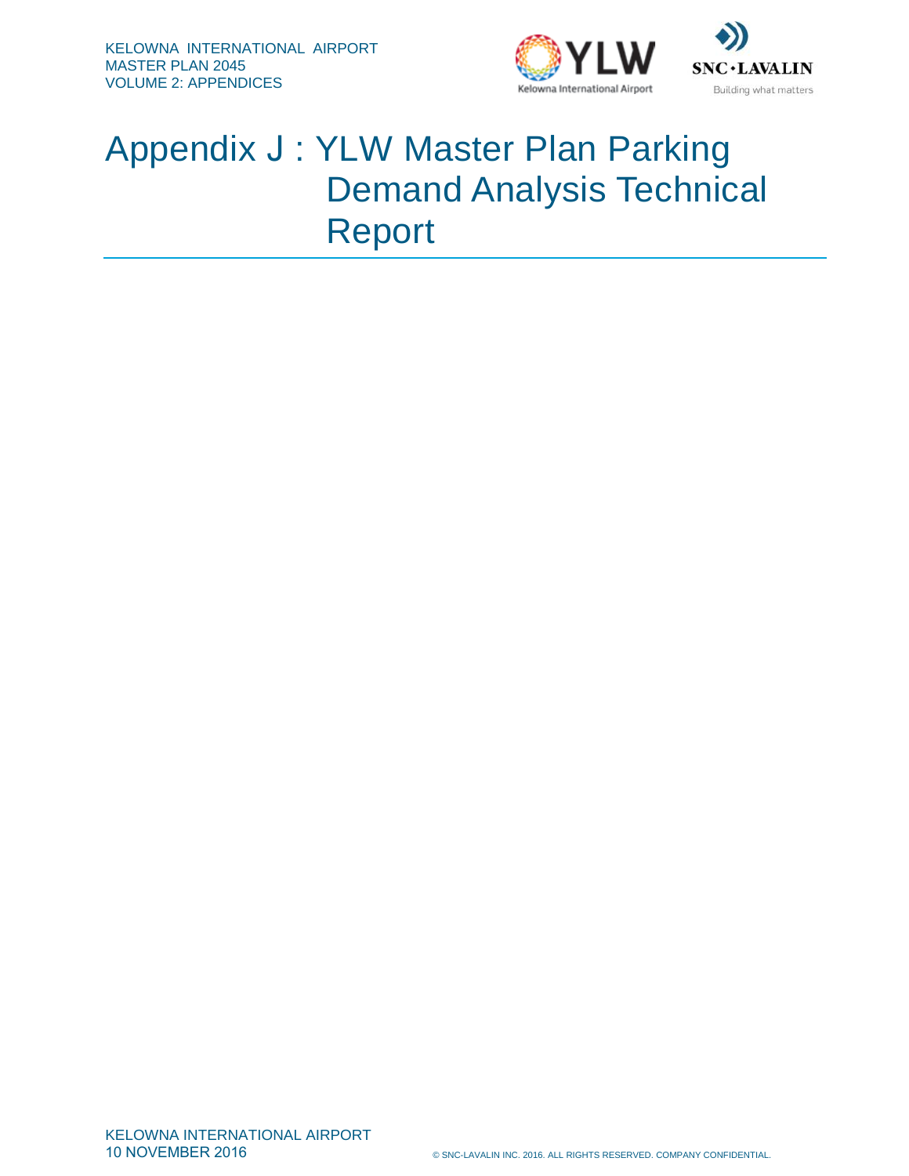



#### Appendix J : YLW Master Plan Parking Demand Analysis Technical Report

KELOWNA INTERNATIONAL AIRPORT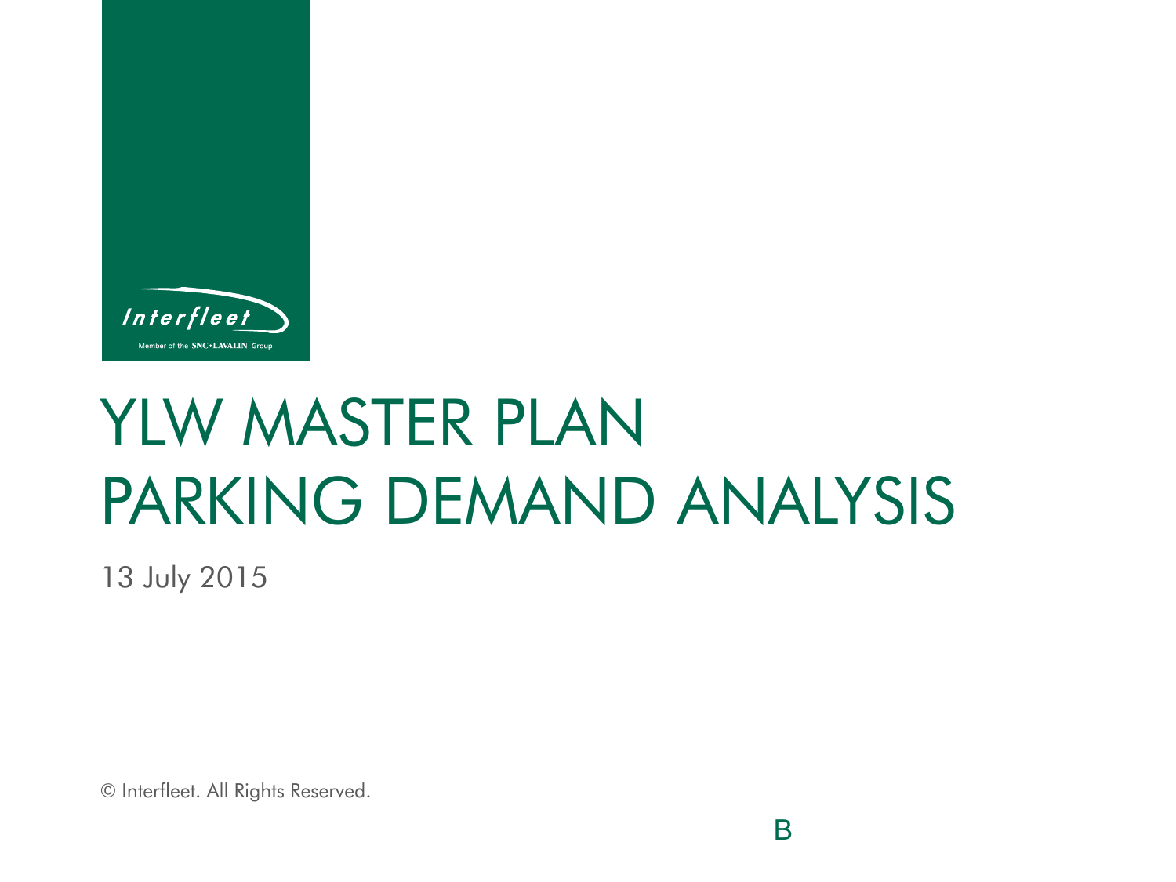

## YLW MASTER PLAN PARKING DEMAND ANALYSIS

Because Expertise Matters

13 July 2015

© Interfleet. All Rights Reserved.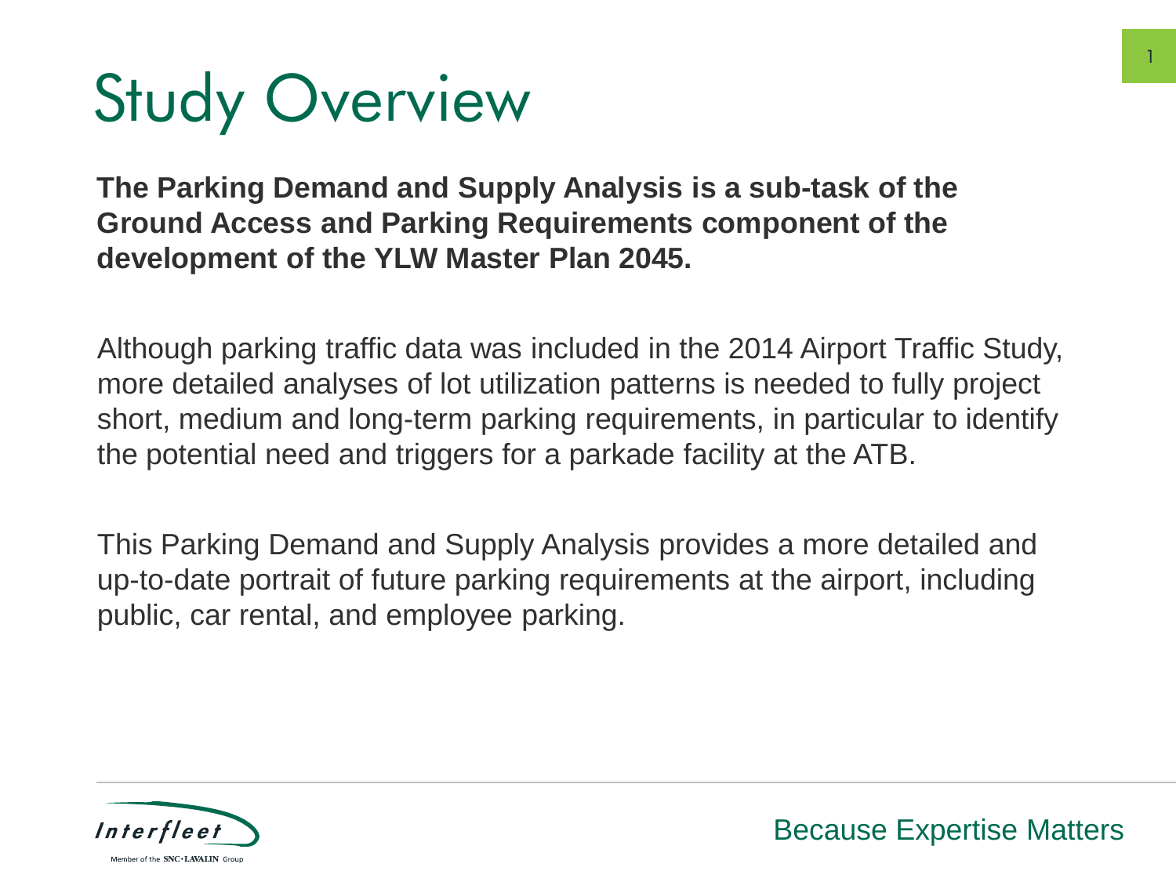# Study Overview

**The Parking Demand and Supply Analysis is a sub-task of the Ground Access and Parking Requirements component of the development of the YLW Master Plan 2045.** 

Although parking traffic data was included in the 2014 Airport Traffic Study, more detailed analyses of lot utilization patterns is needed to fully project short, medium and long-term parking requirements, in particular to identify the potential need and triggers for a parkade facility at the ATB.

This Parking Demand and Supply Analysis provides a more detailed and up-to-date portrait of future parking requirements at the airport, including public, car rental, and employee parking.

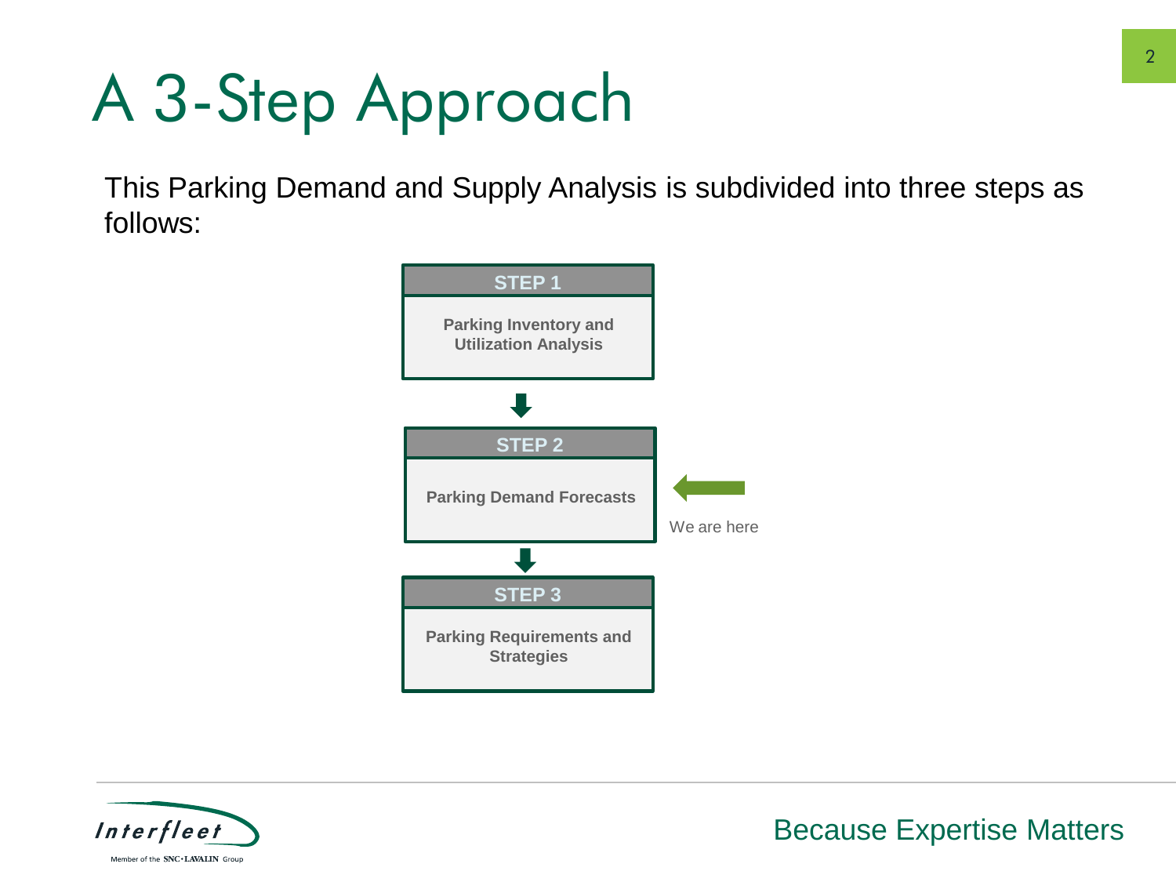# A 3-Step Approach

This Parking Demand and Supply Analysis is subdivided into three steps as follows:



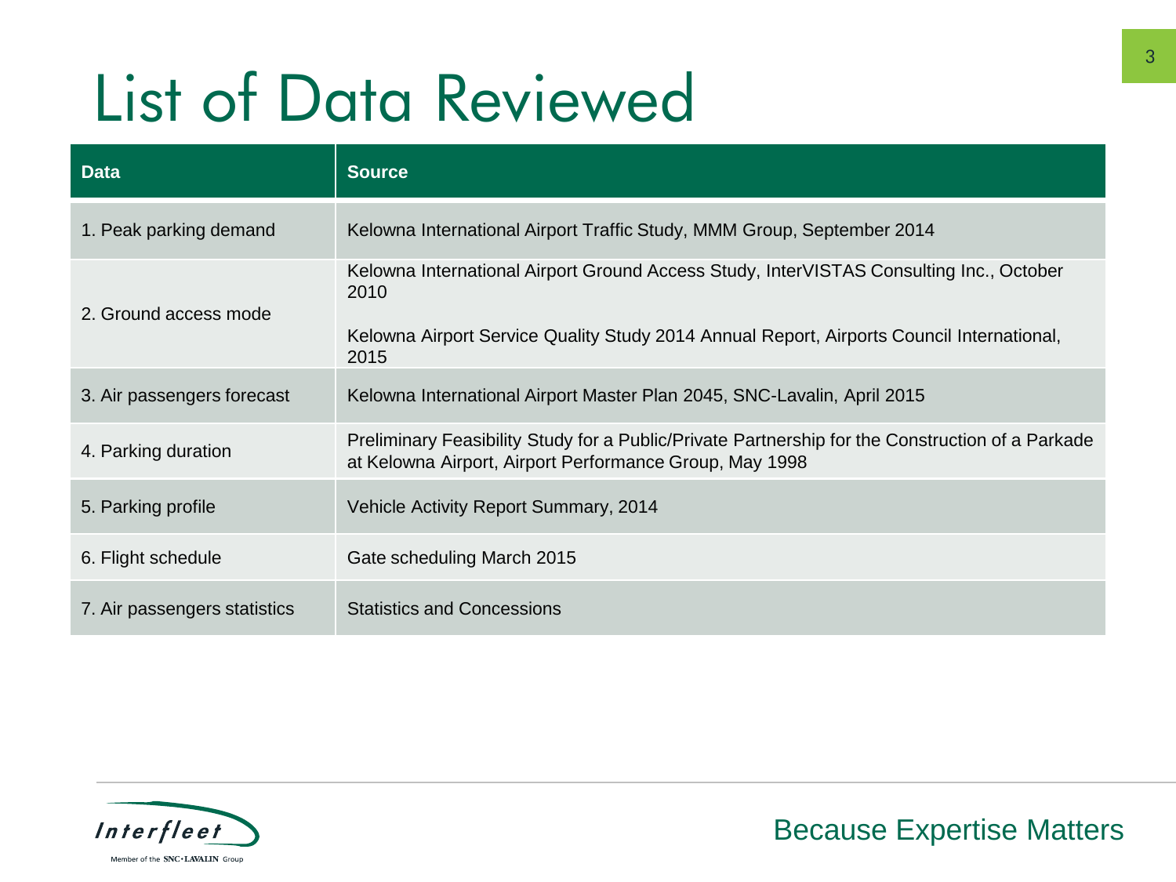## List of Data Reviewed

| <b>Data</b>                  | <b>Source</b>                                                                                                                                                                                        |
|------------------------------|------------------------------------------------------------------------------------------------------------------------------------------------------------------------------------------------------|
| 1. Peak parking demand       | Kelowna International Airport Traffic Study, MMM Group, September 2014                                                                                                                               |
| 2. Ground access mode        | Kelowna International Airport Ground Access Study, InterVISTAS Consulting Inc., October<br>2010<br>Kelowna Airport Service Quality Study 2014 Annual Report, Airports Council International,<br>2015 |
| 3. Air passengers forecast   | Kelowna International Airport Master Plan 2045, SNC-Lavalin, April 2015                                                                                                                              |
| 4. Parking duration          | Preliminary Feasibility Study for a Public/Private Partnership for the Construction of a Parkade<br>at Kelowna Airport, Airport Performance Group, May 1998                                          |
| 5. Parking profile           | Vehicle Activity Report Summary, 2014                                                                                                                                                                |
| 6. Flight schedule           | Gate scheduling March 2015                                                                                                                                                                           |
| 7. Air passengers statistics | <b>Statistics and Concessions</b>                                                                                                                                                                    |

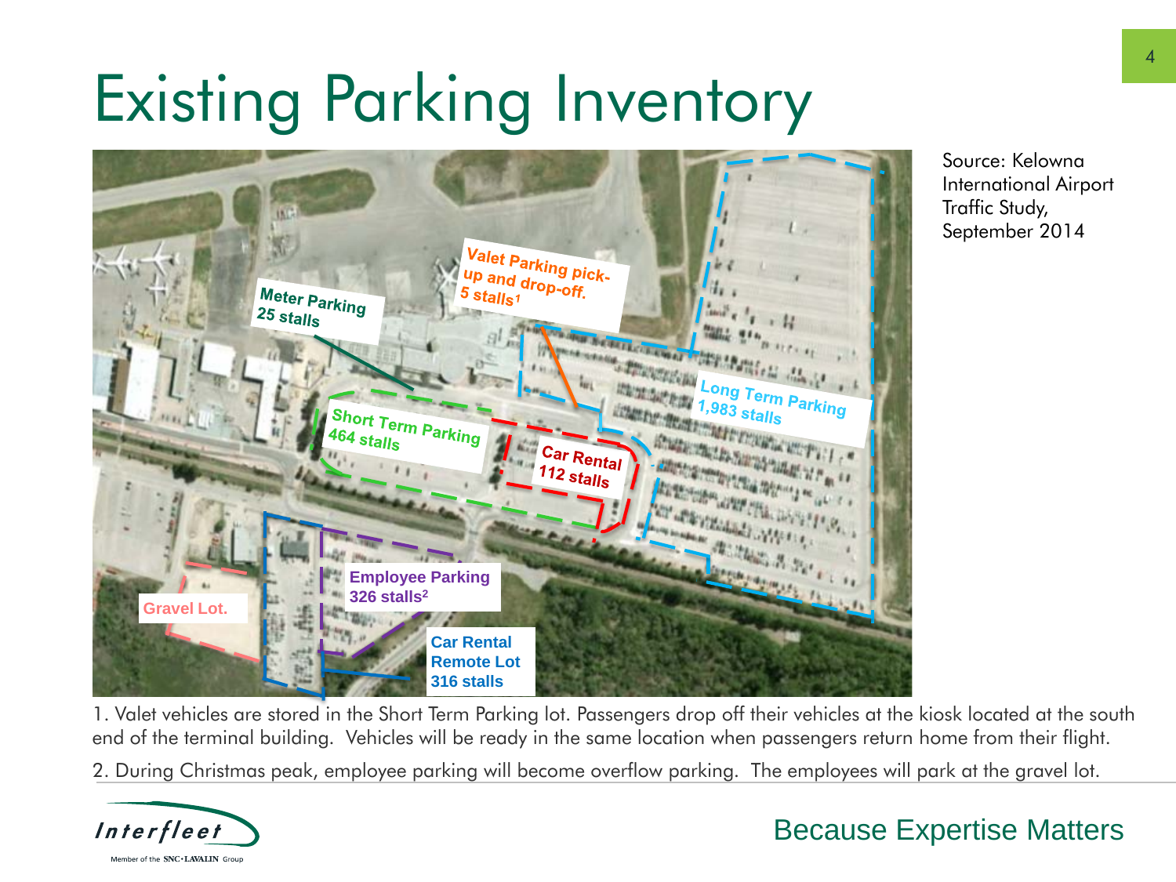## Existing Parking Inventory



Source: Kelowna International Airport Traffic Study, September 2014

1. Valet vehicles are stored in the Short Term Parking lot. Passengers drop off their vehicles at the kiosk located at the south end of the terminal building. Vehicles will be ready in the same location when passengers return home from their flight.

2. During Christmas peak, employee parking will become overflow parking. The employees will park at the gravel lot.

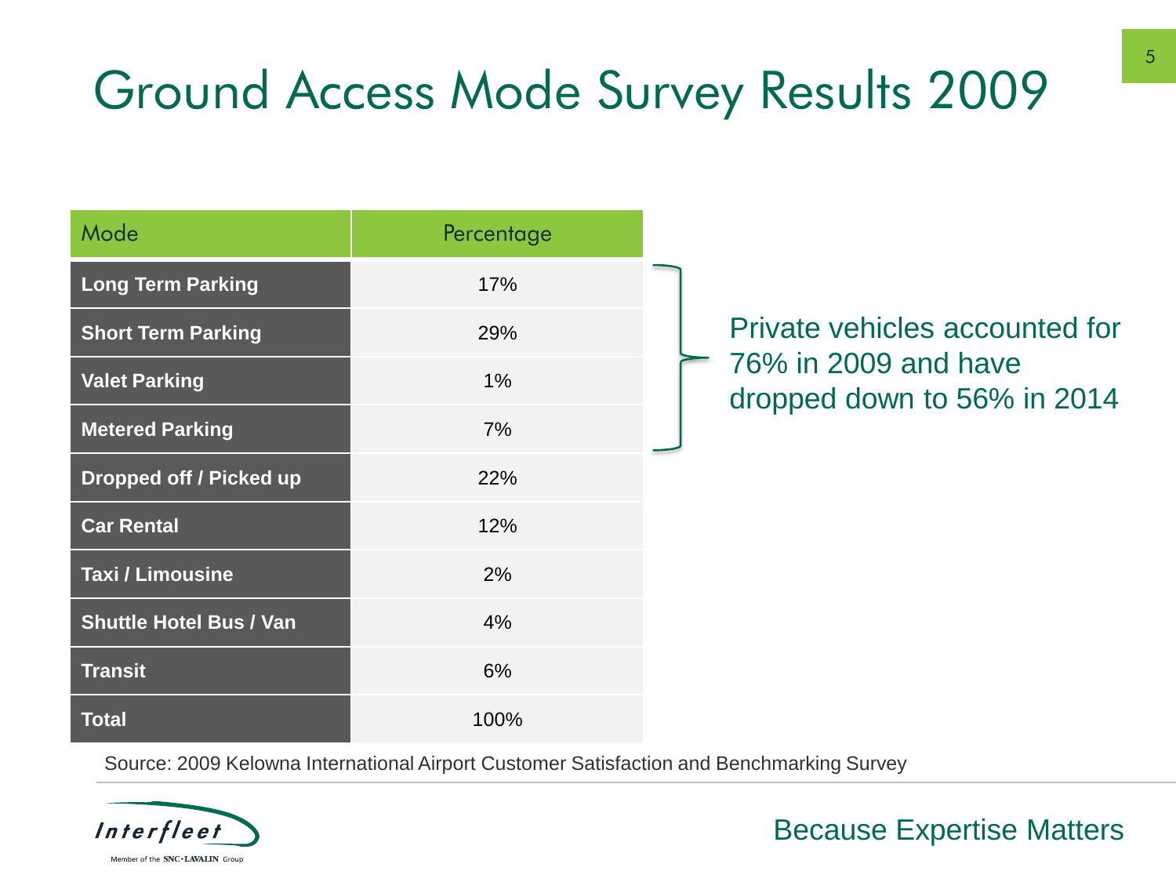#### Ground Access Mode Survey Results 2009

| Mode                           | Percentage |  |
|--------------------------------|------------|--|
| <b>Long Term Parking</b>       | 17%        |  |
| <b>Short Term Parking</b>      | 29%        |  |
| <b>Valet Parking</b>           | 1%         |  |
| <b>Metered Parking</b>         | 7%         |  |
| Dropped off / Picked up        | 22%        |  |
| <b>Car Rental</b>              | 12%        |  |
| <b>Taxi / Limousine</b>        | 2%         |  |
| <b>Shuttle Hotel Bus / Van</b> | 4%         |  |
| <b>Transit</b>                 | 6%         |  |
| <b>Total</b>                   | 100%       |  |

Private vehicles accounted for  $\geq 76\%$  in 2009 and have dropped down to 56% in 2014

Source: 2009 Kelowna International Airport Customer Satisfaction and Benchmarking Survey

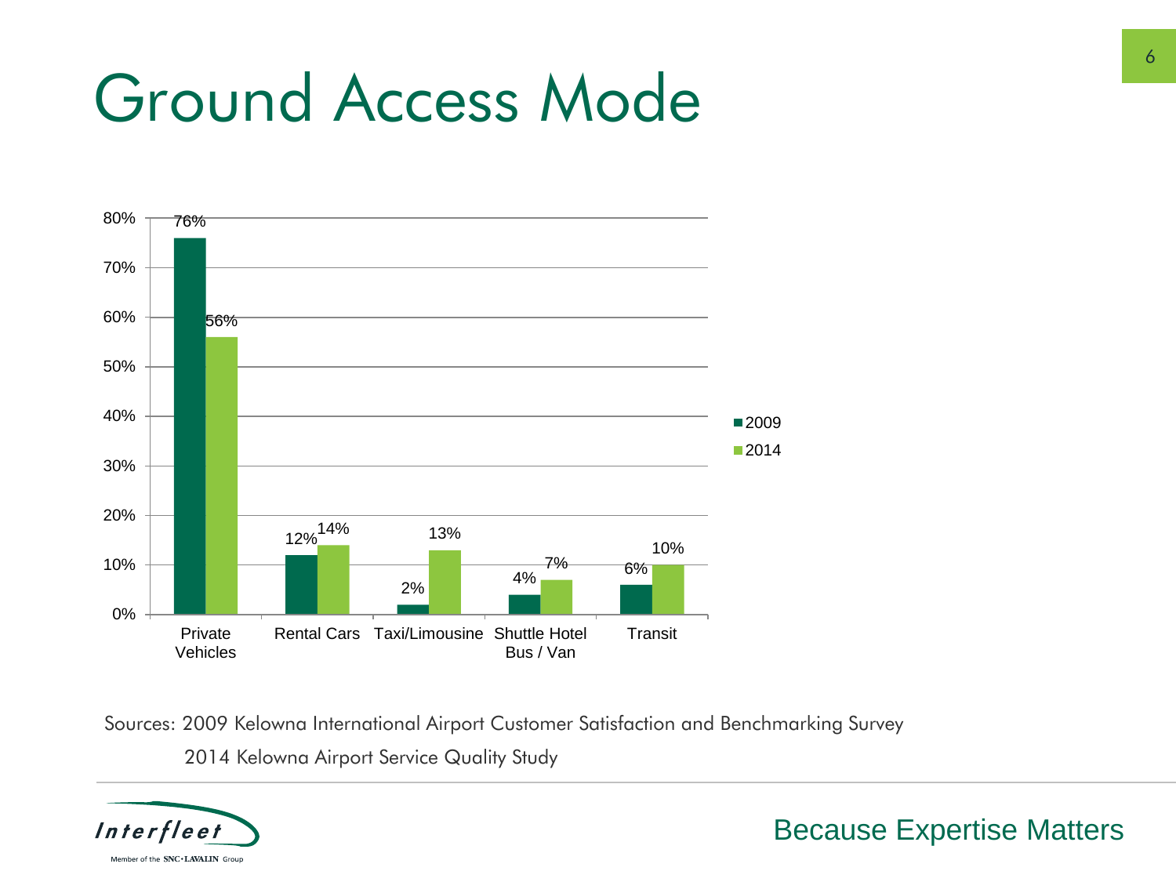### Ground Access Mode



Sources: 2009 Kelowna International Airport Customer Satisfaction and Benchmarking Survey 2014 Kelowna Airport Service Quality Study

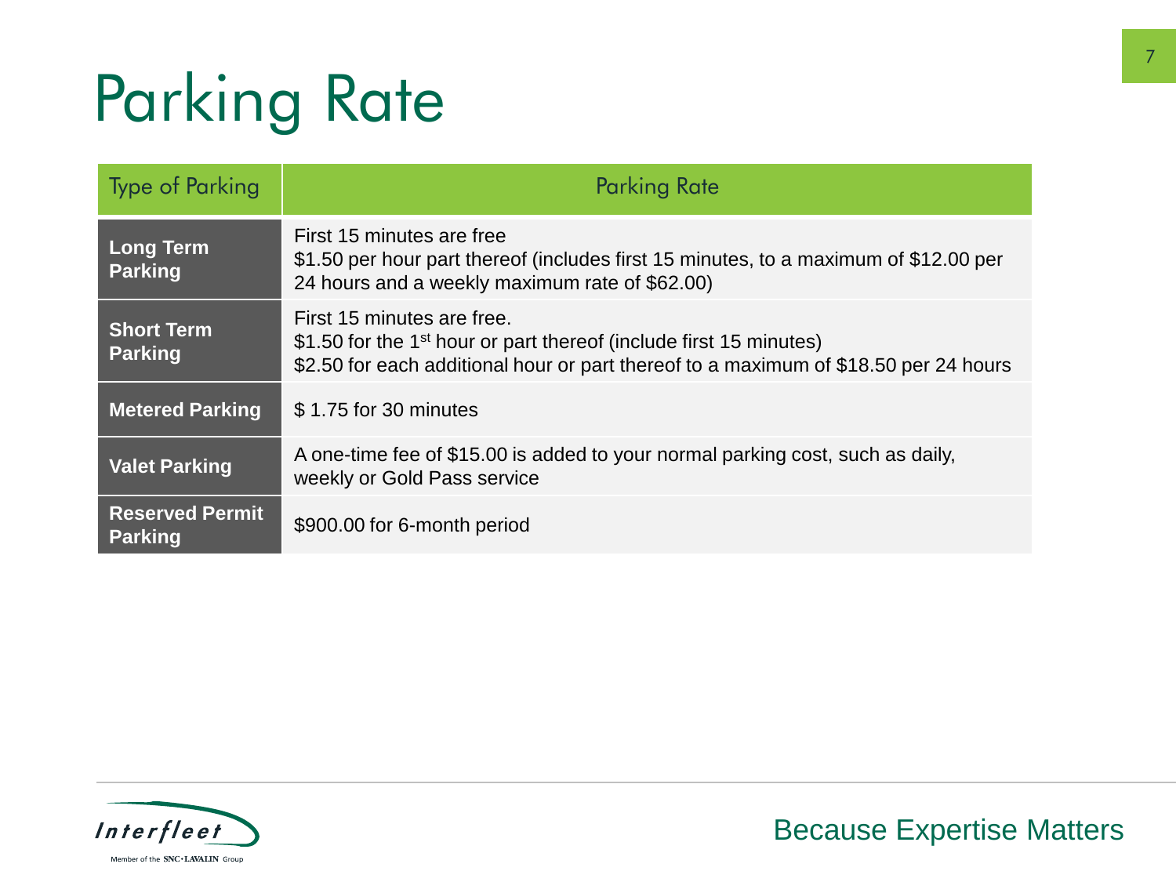# Parking Rate

| <b>Type of Parking</b>                   | <b>Parking Rate</b>                                                                                                                                                                                  |
|------------------------------------------|------------------------------------------------------------------------------------------------------------------------------------------------------------------------------------------------------|
| <b>Long Term</b><br><b>Parking</b>       | First 15 minutes are free<br>\$1.50 per hour part thereof (includes first 15 minutes, to a maximum of \$12.00 per<br>24 hours and a weekly maximum rate of \$62.00)                                  |
| <b>Short Term</b><br><b>Parking</b>      | First 15 minutes are free.<br>\$1.50 for the 1 <sup>st</sup> hour or part thereof (include first 15 minutes)<br>\$2.50 for each additional hour or part thereof to a maximum of \$18.50 per 24 hours |
| <b>Metered Parking</b>                   | \$1.75 for 30 minutes                                                                                                                                                                                |
| <b>Valet Parking</b>                     | A one-time fee of \$15.00 is added to your normal parking cost, such as daily,<br>weekly or Gold Pass service                                                                                        |
| <b>Reserved Permit</b><br><b>Parking</b> | \$900.00 for 6-month period                                                                                                                                                                          |

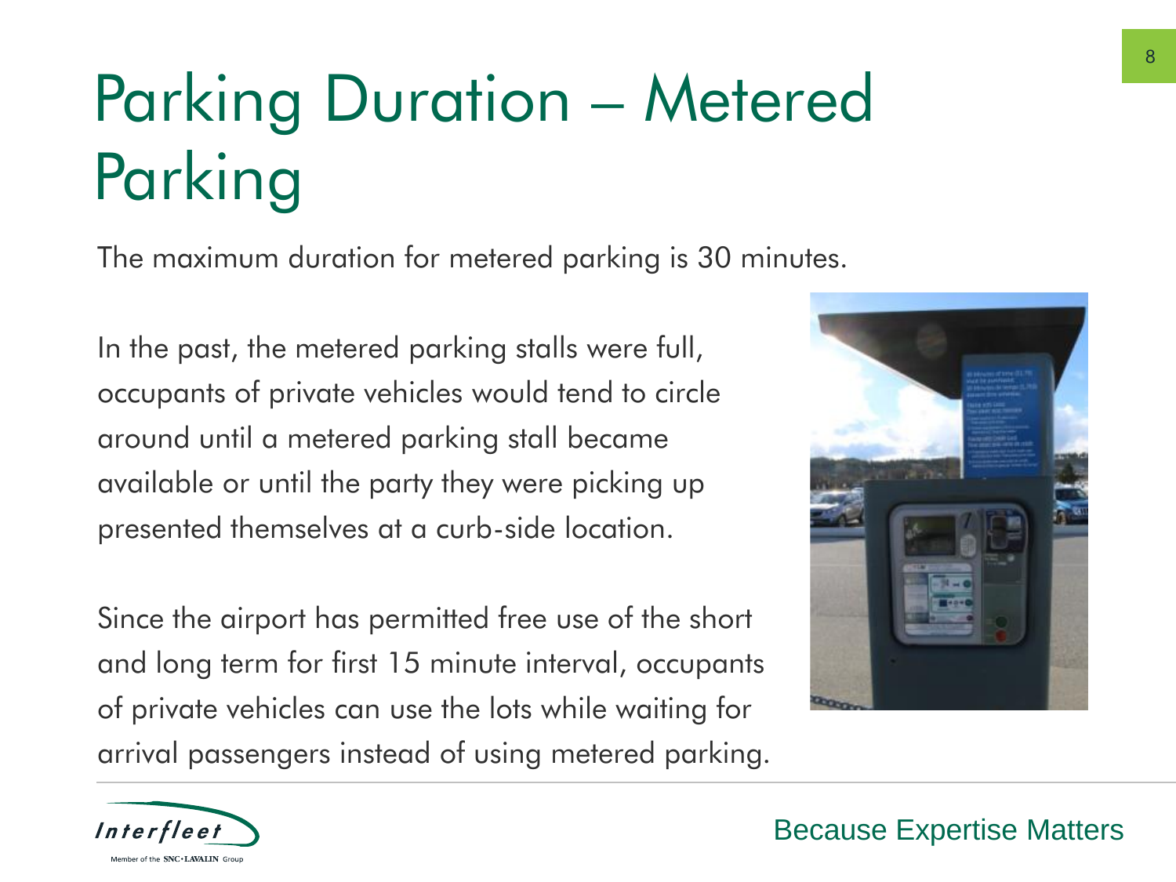# Parking Duration – Metered Parking

The maximum duration for metered parking is 30 minutes.

In the past, the metered parking stalls were full, occupants of private vehicles would tend to circle around until a metered parking stall became available or until the party they were picking up presented themselves at a curb-side location.

Since the airport has permitted free use of the short and long term for first 15 minute interval, occupants of private vehicles can use the lots while waiting for arrival passengers instead of using metered parking.



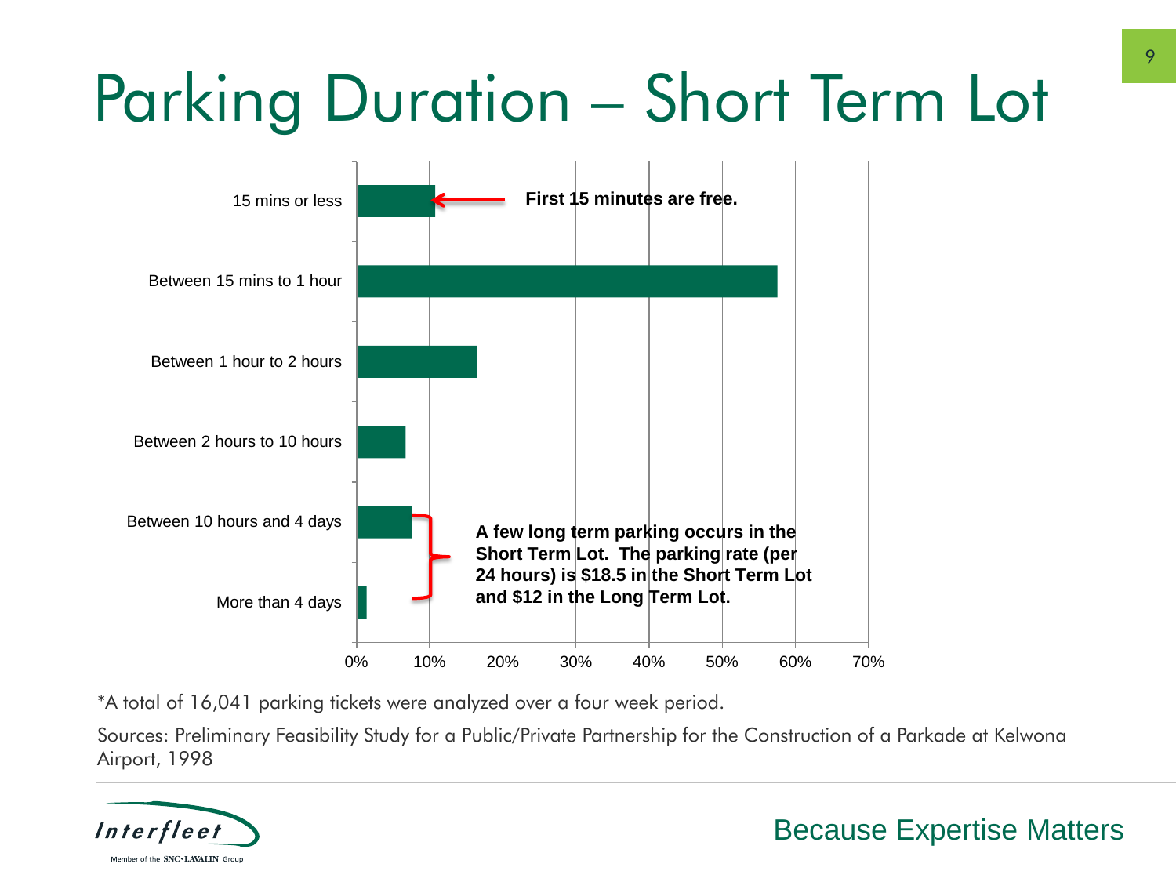# Parking Duration – Short Term Lot



\*A total of 16,041 parking tickets were analyzed over a four week period.

Sources: Preliminary Feasibility Study for a Public/Private Partnership for the Construction of a Parkade at Kelwona Airport, 1998

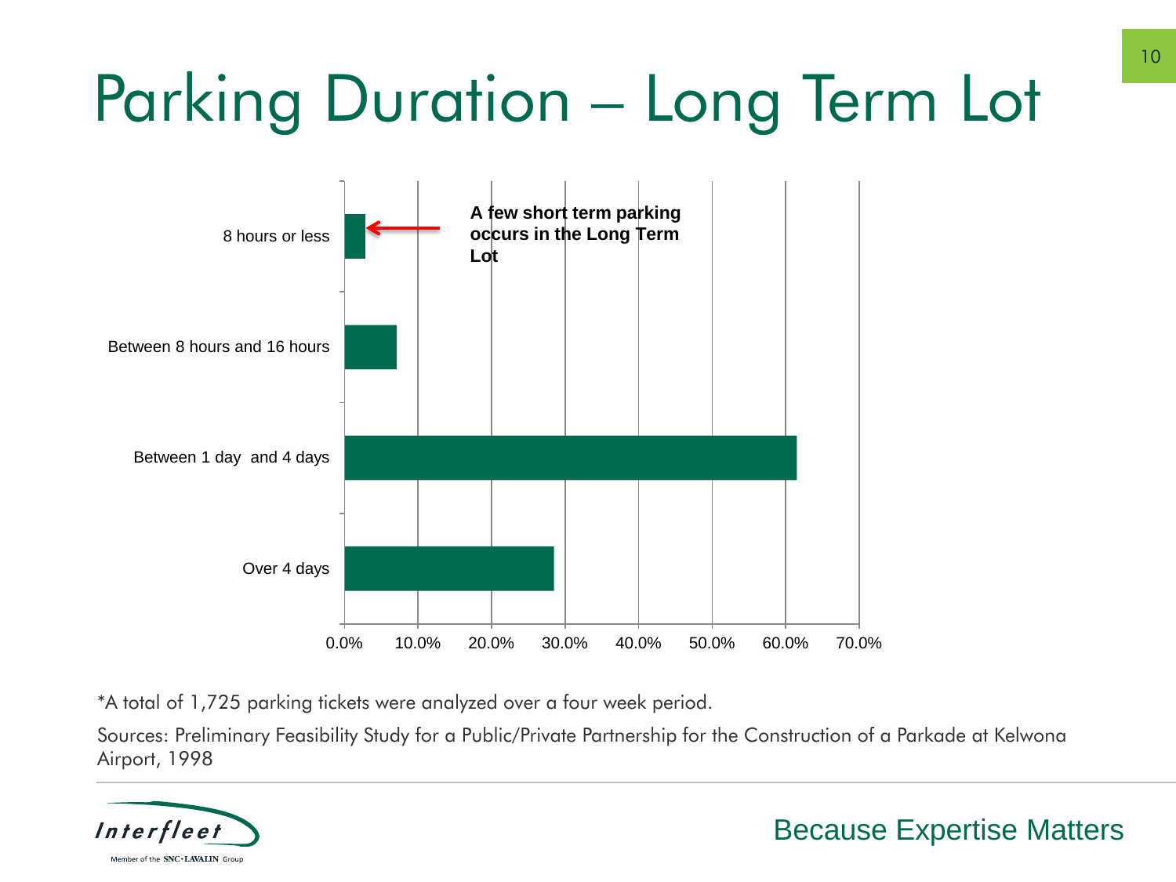# Parking Duration – Long Term Lot



\*A total of 1,725 parking tickets were analyzed over a four week period.

Sources: Preliminary Feasibility Study for a Public/Private Partnership for the Construction of a Parkade at Kelwona Airport, 1998

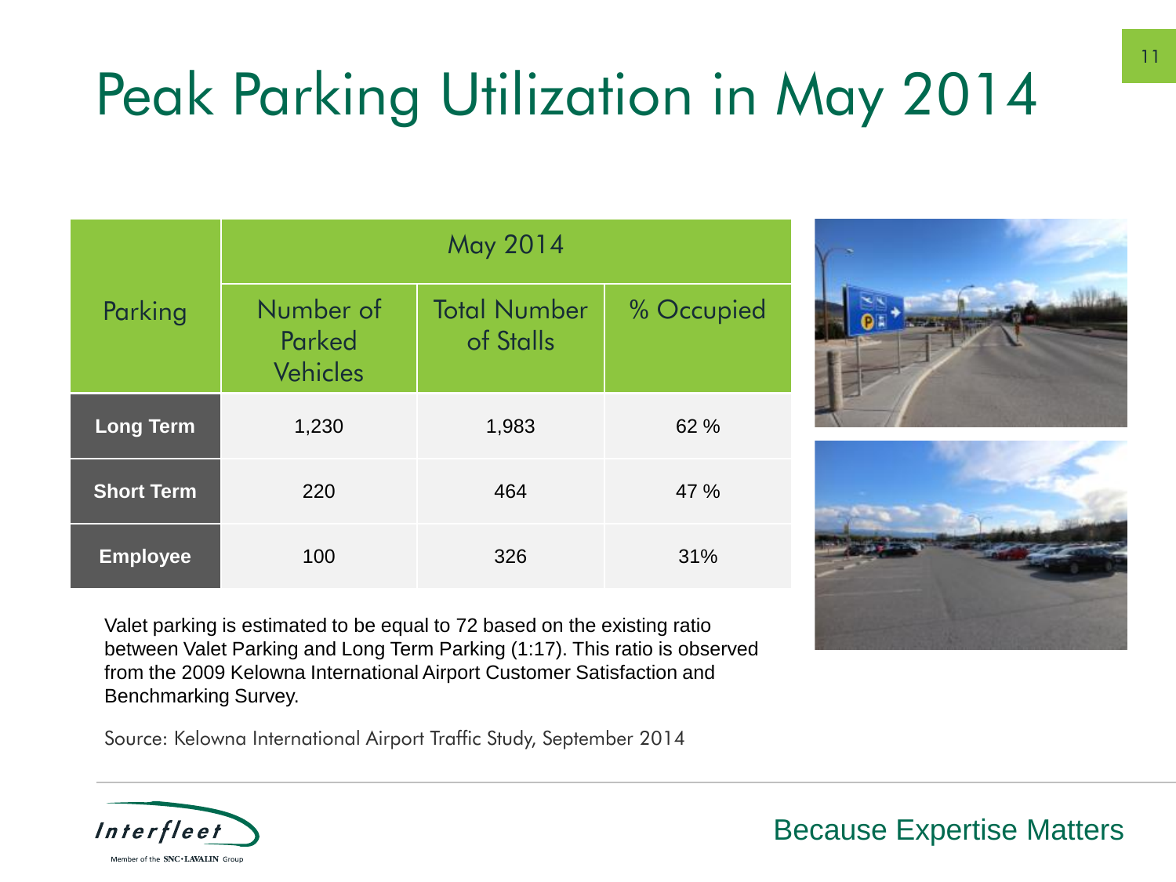## Peak Parking Utilization in May 2014

| Parking           | May 2014                               |                                  |            |  |  |  |  |  |
|-------------------|----------------------------------------|----------------------------------|------------|--|--|--|--|--|
|                   | Number of<br>Parked<br><b>Vehicles</b> | <b>Total Number</b><br>of Stalls | % Occupied |  |  |  |  |  |
| <b>Long Term</b>  | 1,230                                  | 1,983                            | 62 %       |  |  |  |  |  |
| <b>Short Term</b> | 220                                    | 464                              | 47 %       |  |  |  |  |  |
| <b>Employee</b>   | 100                                    | 326                              | 31%        |  |  |  |  |  |

Valet parking is estimated to be equal to 72 based on the existing ratio between Valet Parking and Long Term Parking (1:17). This ratio is observed from the 2009 Kelowna International Airport Customer Satisfaction and Benchmarking Survey.

Source: Kelowna International Airport Traffic Study, September 2014

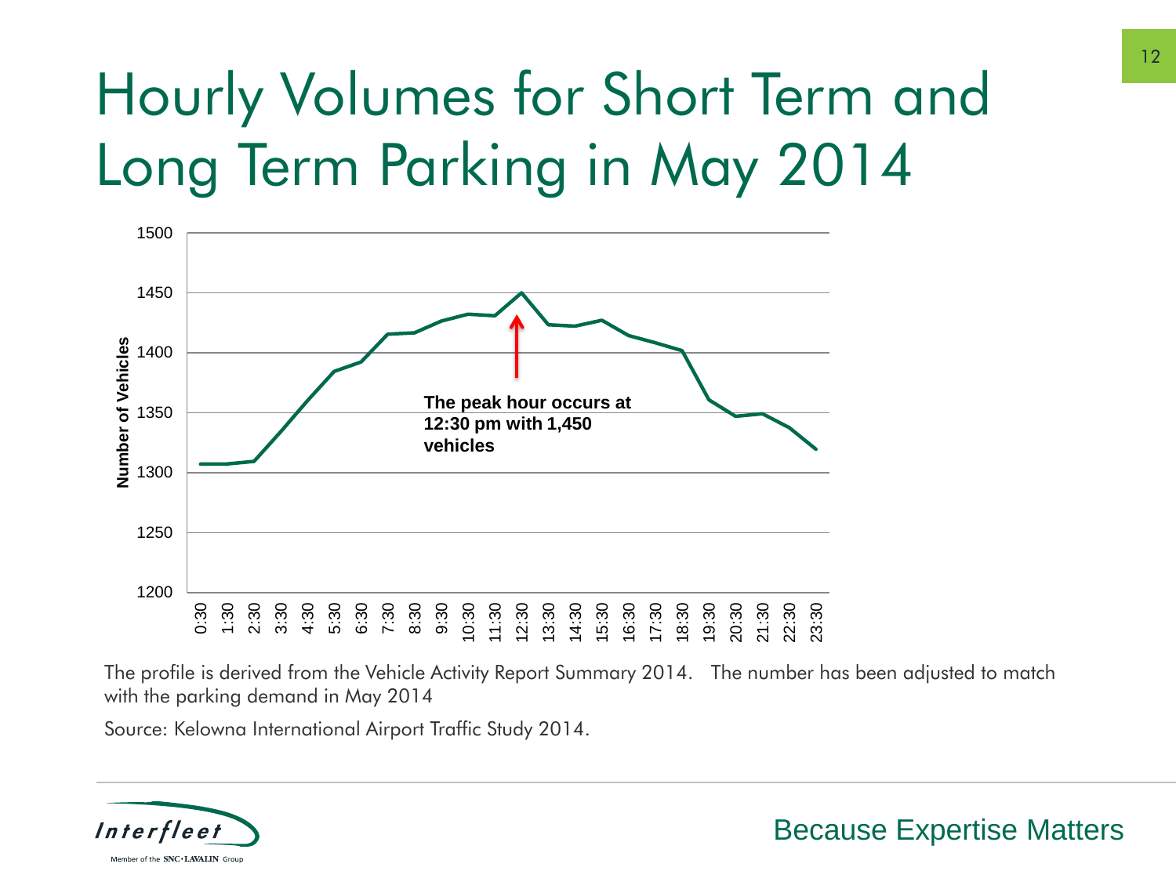### Hourly Volumes for Short Term and Long Term Parking in May 2014



The profile is derived from the Vehicle Activity Report Summary 2014. The number has been adjusted to match with the parking demand in May 2014

Source: Kelowna International Airport Traffic Study 2014.

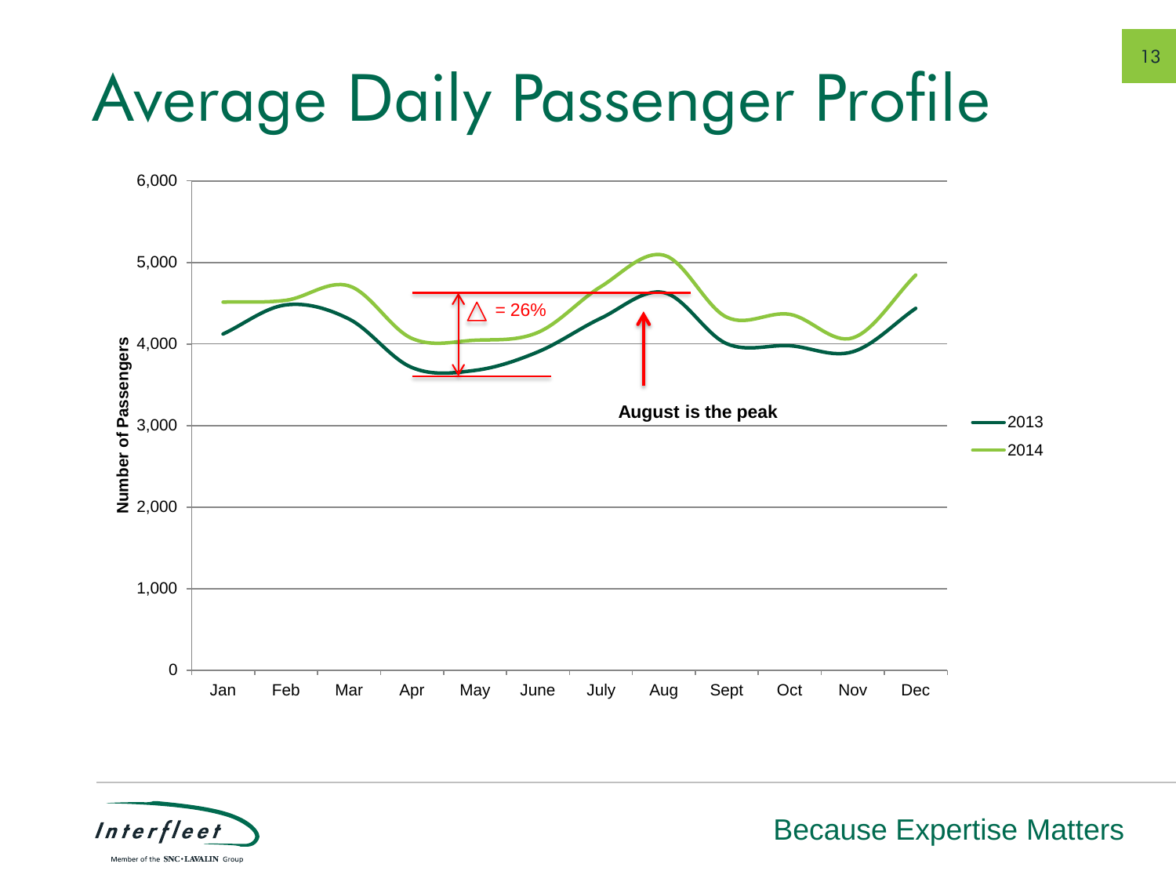# Average Daily Passenger Profile



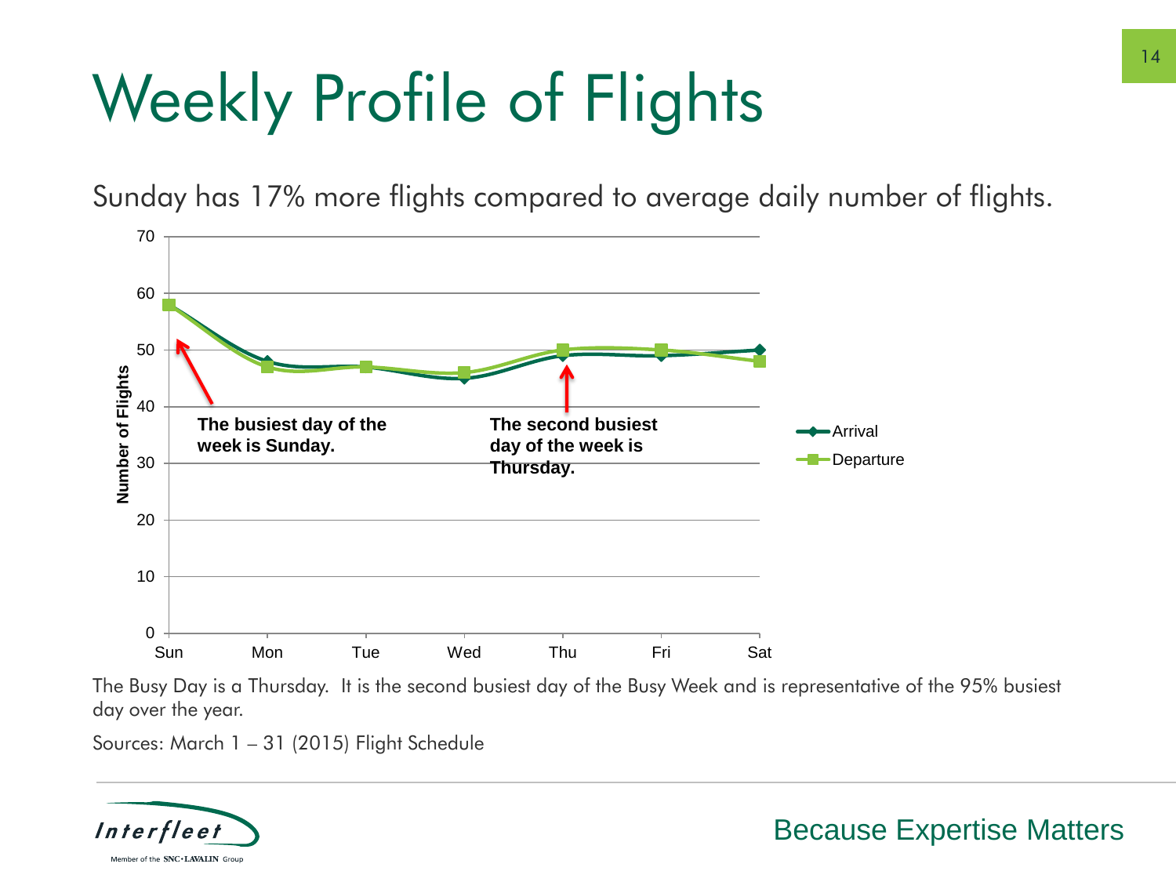# Weekly Profile of Flights

Sunday has 17% more flights compared to average daily number of flights.



The Busy Day is a Thursday. It is the second busiest day of the Busy Week and is representative of the 95% busiest day over the year.

Sources: March 1 – 31 (2015) Flight Schedule

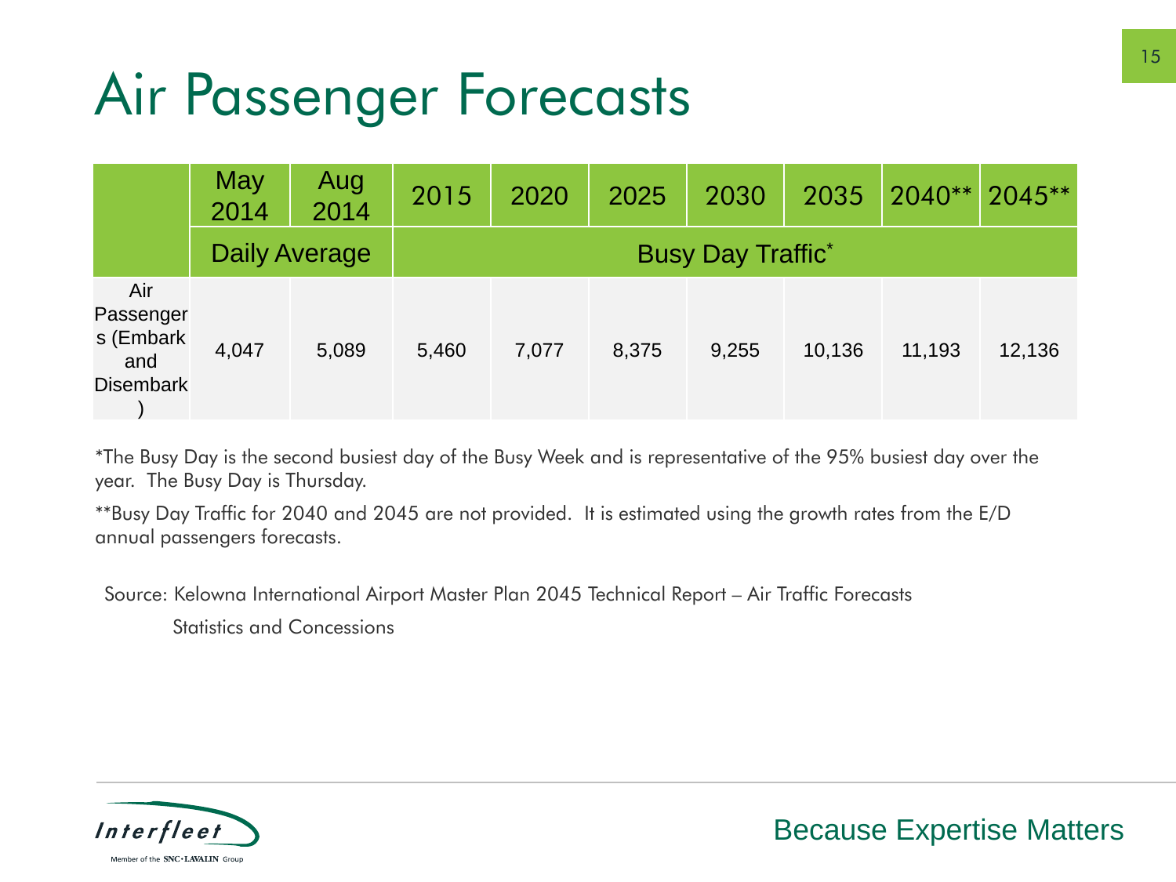### Air Passenger Forecasts

|                                                          | May<br>2014          | Aug<br>2014 | 2015                      | 2020  | 2025  | 2030  | 2035   | $2040**$ | $2045***$ |  |  |
|----------------------------------------------------------|----------------------|-------------|---------------------------|-------|-------|-------|--------|----------|-----------|--|--|
|                                                          | <b>Daily Average</b> |             | <b>Busy Day Traffic</b> * |       |       |       |        |          |           |  |  |
| Air<br>Passenger<br>s (Embark<br>and<br><b>Disembark</b> | 4,047                | 5,089       | 5,460                     | 7,077 | 8,375 | 9,255 | 10,136 | 11,193   | 12,136    |  |  |

\*The Busy Day is the second busiest day of the Busy Week and is representative of the 95% busiest day over the year. The Busy Day is Thursday.

\*\*Busy Day Traffic for 2040 and 2045 are not provided. It is estimated using the growth rates from the E/D annual passengers forecasts.

Source: Kelowna International Airport Master Plan 2045 Technical Report – Air Traffic Forecasts

Statistics and Concessions

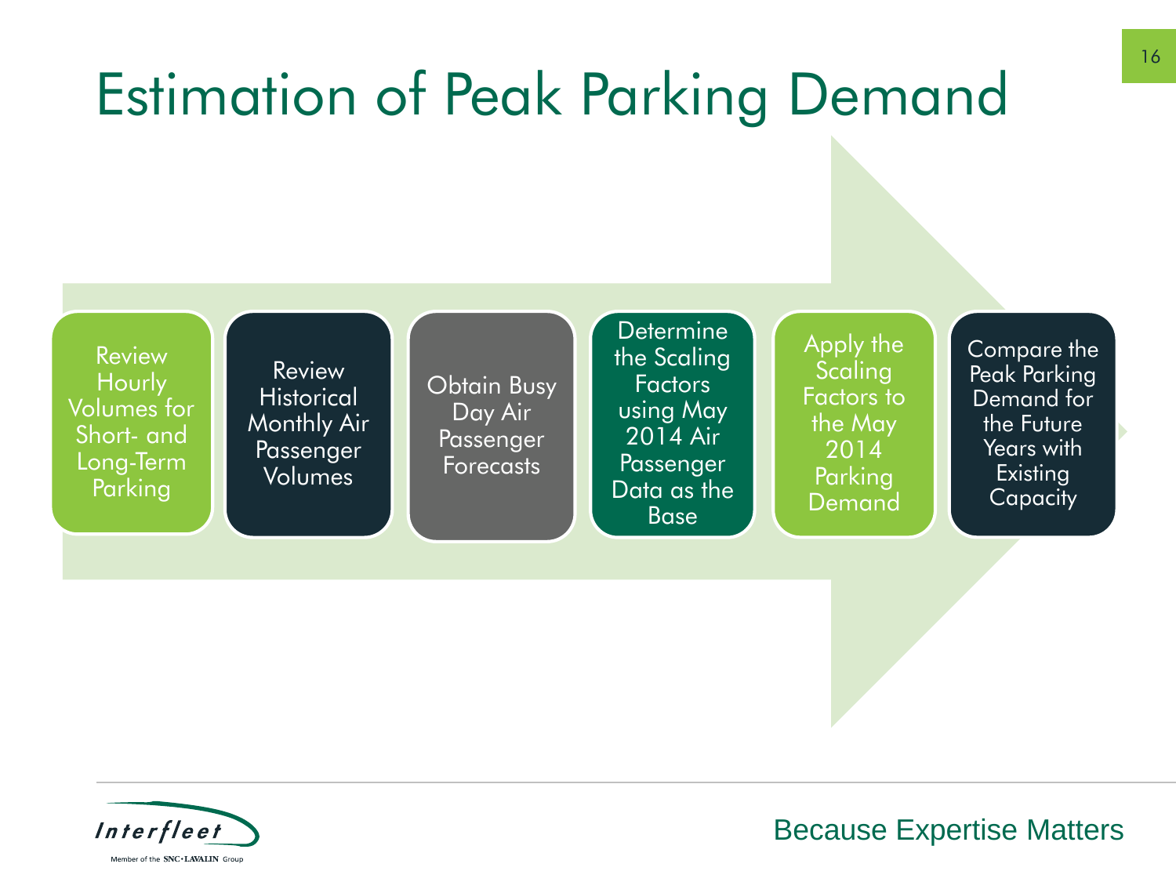### Estimation of Peak Parking Demand

**Review Hourly** Volumes for Short- and Long-Term Parking

**Review Historical** Monthly Air Passenger Volumes

Obtain Busy Day Air Passenger **Forecasts** 

**Determine** the Scaling Factors using May 2014 Air **Passenger** Data as the **Base** 

Apply the **Scaling** Factors to the May 2014 Parking Demand

Compare the Peak Parking Demand for the Future Years with **Existing Capacity** 

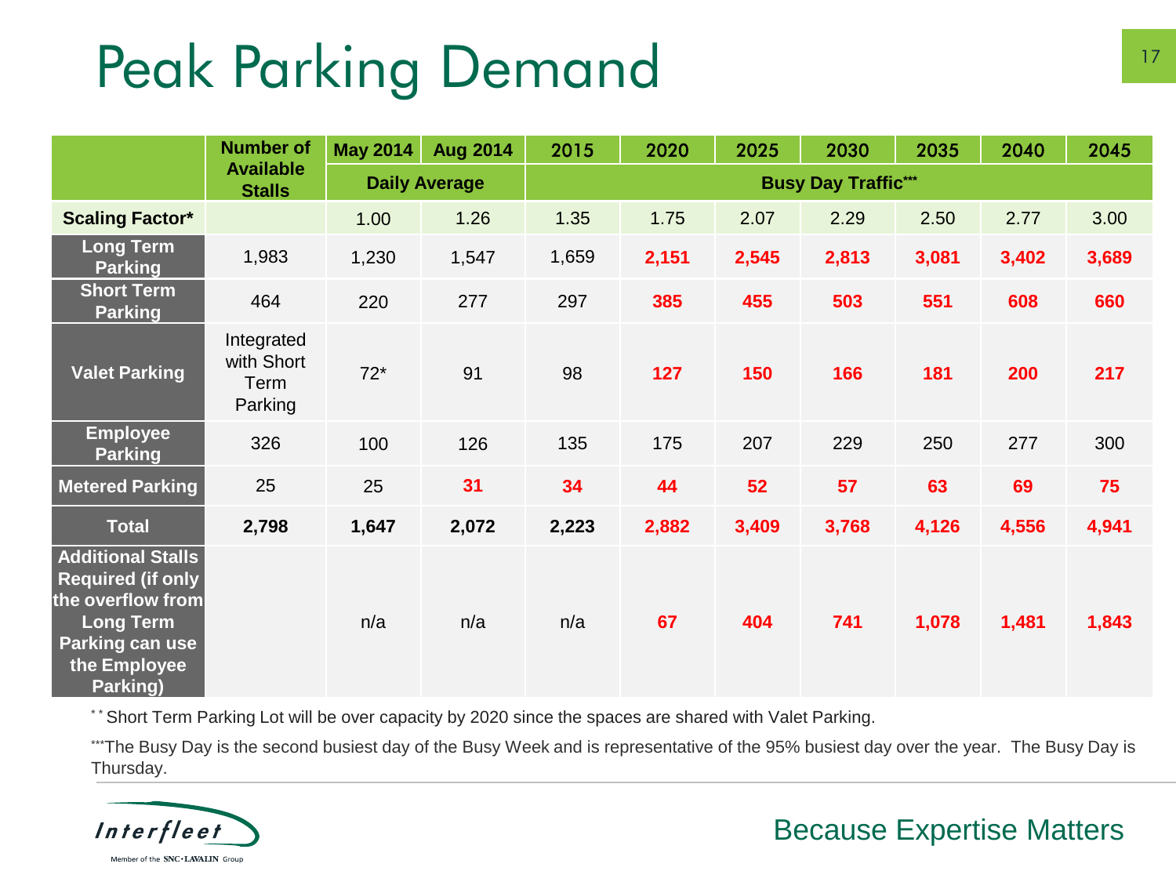### Peak Parking Demand

|                                                                                                                                              | <b>Number of</b>                            | <b>May 2014</b>      | <b>Aug 2014</b> | 2015                       | 2020  | 2025  | 2030  | 2035  | 2040  | 2045  |
|----------------------------------------------------------------------------------------------------------------------------------------------|---------------------------------------------|----------------------|-----------------|----------------------------|-------|-------|-------|-------|-------|-------|
|                                                                                                                                              | <b>Available</b><br><b>Stalls</b>           | <b>Daily Average</b> |                 | <b>Busy Day Traffic***</b> |       |       |       |       |       |       |
| <b>Scaling Factor*</b>                                                                                                                       |                                             | 1.00                 | 1.26            | 1.35                       | 1.75  | 2.07  | 2.29  | 2.50  | 2.77  | 3.00  |
| <b>Long Term</b><br><b>Parking</b>                                                                                                           | 1,983                                       | 1,230                | 1,547           | 1,659                      | 2,151 | 2,545 | 2,813 | 3,081 | 3,402 | 3,689 |
| <b>Short Term</b><br><b>Parking</b>                                                                                                          | 464                                         | 220                  | 277             | 297                        | 385   | 455   | 503   | 551   | 608   | 660   |
| <b>Valet Parking</b>                                                                                                                         | Integrated<br>with Short<br>Term<br>Parking | $72*$                | 91              | 98                         | 127   | 150   | 166   | 181   | 200   | 217   |
| <b>Employee</b><br><b>Parking</b>                                                                                                            | 326                                         | 100                  | 126             | 135                        | 175   | 207   | 229   | 250   | 277   | 300   |
| <b>Metered Parking</b>                                                                                                                       | 25                                          | 25                   | 31              | 34                         | 44    | 52    | 57    | 63    | 69    | 75    |
| <b>Total</b>                                                                                                                                 | 2,798                                       | 1,647                | 2,072           | 2,223                      | 2,882 | 3,409 | 3,768 | 4,126 | 4,556 | 4,941 |
| <b>Additional Stalls</b><br><b>Required (if only</b><br>the overflow from<br><b>Long Term</b><br>Parking can use<br>the Employee<br>Parking) |                                             | n/a                  | n/a             | n/a                        | 67    | 404   | 741   | 1,078 | 1,481 | 1,843 |

\*\* Short Term Parking Lot will be over capacity by 2020 since the spaces are shared with Valet Parking.

\*\*\*The Busy Day is the second busiest day of the Busy Week and is representative of the 95% busiest day over the year. The Busy Day is Thursday.

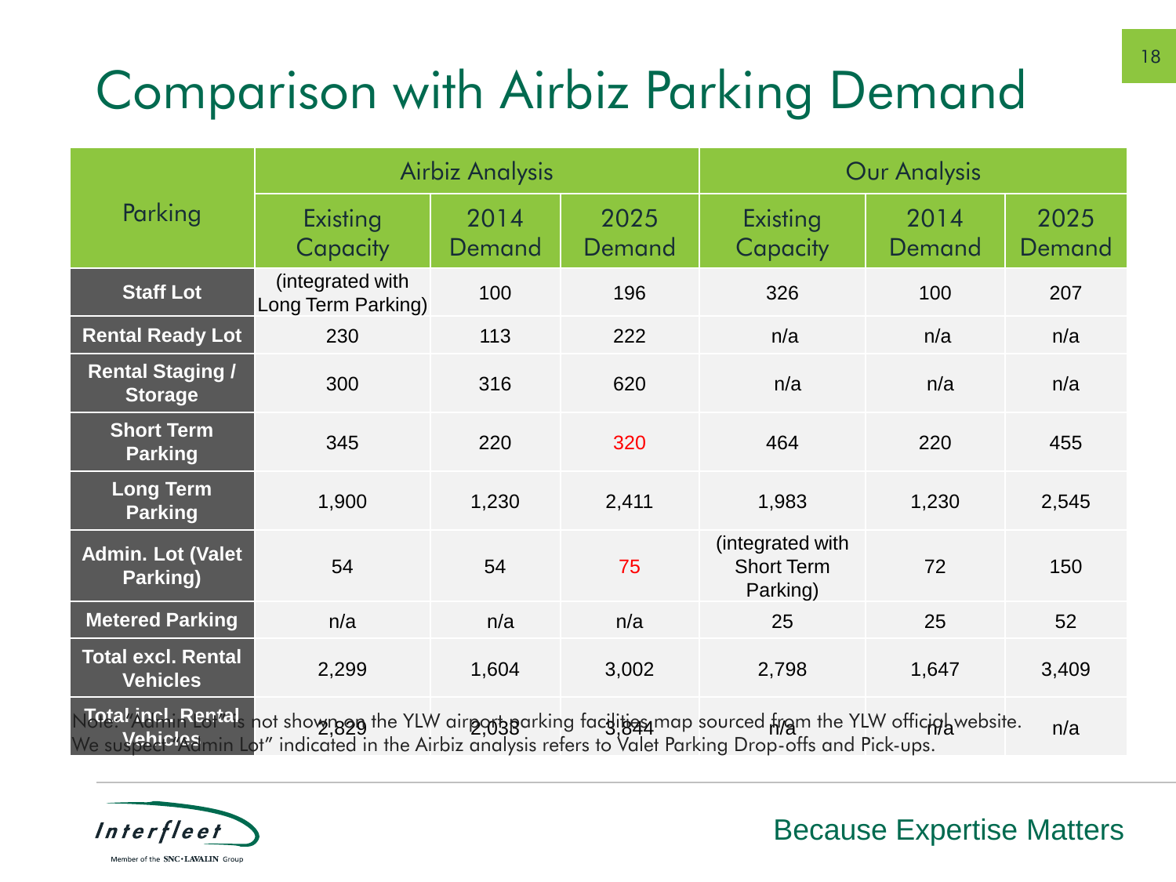### Comparison with Airbiz Parking Demand

|                                                                                                                                                                                                                                  |                                        | <b>Airbiz Analysis</b> |                | <b>Our Analysis</b>                               |                |                |  |  |
|----------------------------------------------------------------------------------------------------------------------------------------------------------------------------------------------------------------------------------|----------------------------------------|------------------------|----------------|---------------------------------------------------|----------------|----------------|--|--|
| Parking                                                                                                                                                                                                                          | Existing<br>Capacity                   | 2014<br>Demand         | 2025<br>Demand | Existing<br>Capacity                              | 2014<br>Demand | 2025<br>Demand |  |  |
| <b>Staff Lot</b>                                                                                                                                                                                                                 | (integrated with<br>Long Term Parking) | 100                    | 196            | 326                                               | 100            | 207            |  |  |
| <b>Rental Ready Lot</b>                                                                                                                                                                                                          | 230                                    | 113                    | 222            | n/a                                               | n/a            | n/a            |  |  |
| <b>Rental Staging /</b><br><b>Storage</b>                                                                                                                                                                                        | 300                                    | 316                    | 620            | n/a                                               | n/a            | n/a            |  |  |
| <b>Short Term</b><br><b>Parking</b>                                                                                                                                                                                              | 345                                    | 220                    | 320            | 464                                               | 220            | 455            |  |  |
| <b>Long Term</b><br><b>Parking</b>                                                                                                                                                                                               | 1,900                                  | 1,230                  | 2,411          | 1,983                                             | 1,230          | 2,545          |  |  |
| <b>Admin. Lot (Valet</b><br>Parking)                                                                                                                                                                                             | 54                                     | 54                     | 75             | (integrated with<br><b>Short Term</b><br>Parking) | 72             | 150            |  |  |
| <b>Metered Parking</b>                                                                                                                                                                                                           | n/a                                    | n/a                    | n/a            | 25                                                | 25             | 52             |  |  |
| <b>Total excl. Rental</b><br><b>Vehicles</b>                                                                                                                                                                                     | 2,299                                  | 1,604                  | 3,002          | 2,798                                             | 1,647          | 3,409          |  |  |
| Total incl. Rental<br>not showngon the YLW airport parking facilition map sourced from the YLW officipl website.<br>n/a<br>We suvehicles<br>ot" indicated in the Airbiz analysis refers to Valet Parking Drop-offs and Pick-ups. |                                        |                        |                |                                                   |                |                |  |  |

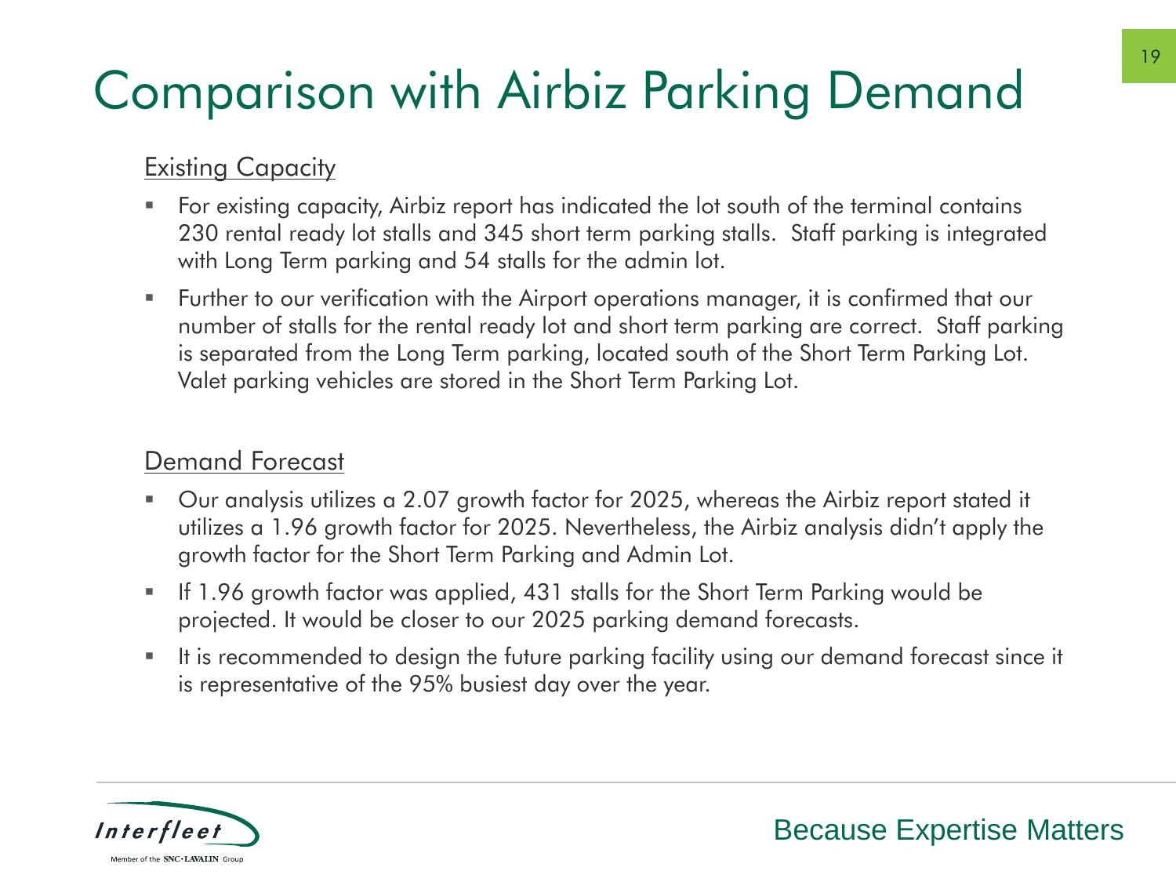#### Comparison with Airbiz Parking Demand

#### **Existing Capacity**

- For existing capacity, Airbiz report has indicated the lot south of the terminal contains 230 rental ready lot stalls and 345 short term parking stalls. Staff parking is integrated with Long Term parking and 54 stalls for the admin lot.
- Further to our verification with the Airport operations manager, it is confirmed that our number of stalls for the rental ready lot and short term parking are correct. Staff parking is separated from the Long Term parking, located south of the Short Term Parking Lot. Valet parking vehicles are stored in the Short Term Parking Lot.

#### Demand Forecast

- Our analysis utilizes a 2.07 growth factor for 2025, whereas the Airbiz report stated it utilizes a 1.96 growth factor for 2025. Nevertheless, the Airbiz analysis didn't apply the growth factor for the Short Term Parking and Admin Lot.
- If 1.96 growth factor was applied, 431 stalls for the Short Term Parking would be projected. It would be closer to our 2025 parking demand forecasts.
- It is recommended to design the future parking facility using our demand forecast since it is representative of the 95% busiest day over the year.

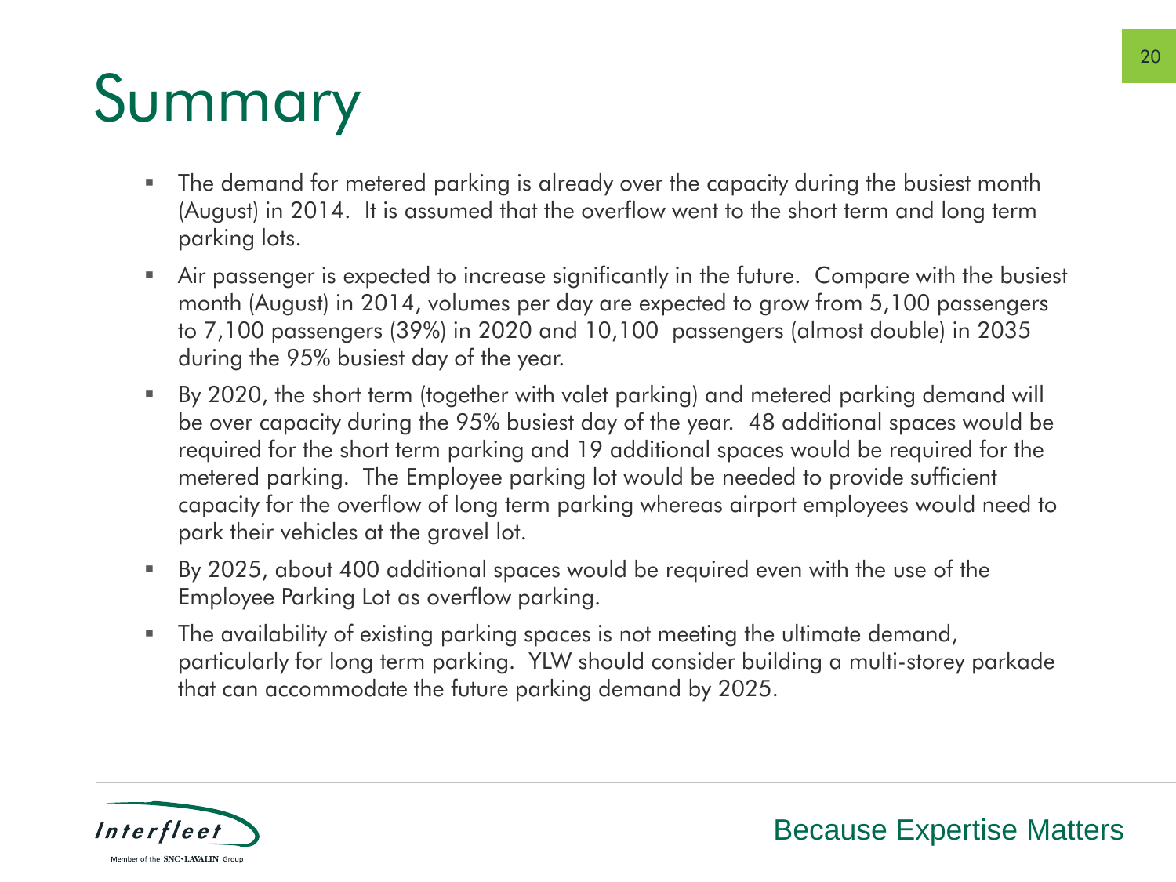# Summary

- The demand for metered parking is already over the capacity during the busiest month (August) in 2014. It is assumed that the overflow went to the short term and long term parking lots.
- Air passenger is expected to increase significantly in the future. Compare with the busiest month (August) in 2014, volumes per day are expected to grow from 5,100 passengers to 7,100 passengers (39%) in 2020 and 10,100 passengers (almost double) in 2035 during the 95% busiest day of the year.
- By 2020, the short term (together with valet parking) and metered parking demand will be over capacity during the 95% busiest day of the year. 48 additional spaces would be required for the short term parking and 19 additional spaces would be required for the metered parking. The Employee parking lot would be needed to provide sufficient capacity for the overflow of long term parking whereas airport employees would need to park their vehicles at the gravel lot.
- By 2025, about 400 additional spaces would be required even with the use of the Employee Parking Lot as overflow parking.
- The availability of existing parking spaces is not meeting the ultimate demand, particularly for long term parking. YLW should consider building a multi-storey parkade that can accommodate the future parking demand by 2025.